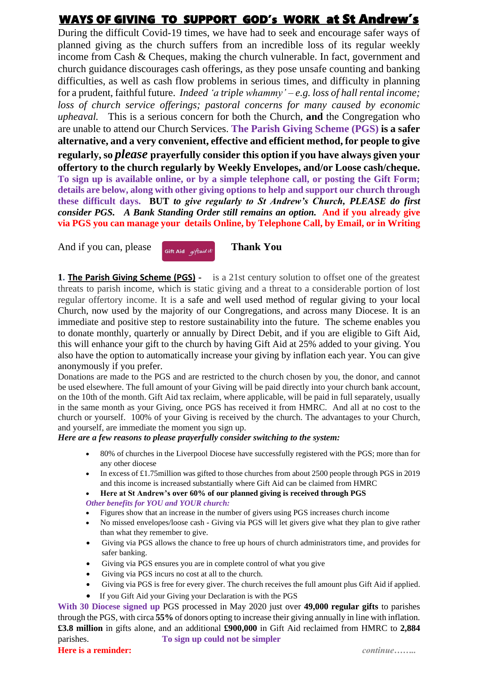# WAYS OF GIVING TO SUPPORT GOD's WORK at St Andrew's

During the difficult Covid-19 times, we have had to seek and encourage safer ways of planned giving as the church suffers from an incredible loss of its regular weekly income from Cash & Cheques, making the church vulnerable. In fact, government and church guidance discourages cash offerings, as they pose unsafe counting and banking difficulties, as well as cash flow problems in serious times, and difficulty in planning for a prudent, faithful future. *Indeed 'a triple whammy' – e.g. loss of hallrental income; loss of church service offerings; pastoral concerns for many caused by economic upheaval.* This is a serious concern for both the Church, **and** the Congregation who are unable to attend our Church Services. **The Parish Giving Scheme (PGS) is a safer alternative, and a very convenient, effective and efficient method, for people to give regularly, so** *please* **prayerfully consider this option if you have always given your offertory to the church regularly by Weekly Envelopes, and/or Loose cash/cheque. To sign up is available online, or by a simple telephone call, or posting the Gift Form; details are below, along with other giving options to help and support our church through these difficult days. BUT** *to give regularly to St Andrew's Church, PLEASE do first consider PGS. A Bank Standing Order still remains an option.* **And if you already give via PGS you can manage your details Online, by Telephone Call, by Email, or in Writing** 

And if you can, please  $\left[\begin{array}{cc} \frac{1}{\text{Gift Aid}} & \frac{1}{\text{gift said}} \end{array}\right]$  **Thank You** 

**1. The Parish Giving Scheme (PGS) -** is a 21st century solution to offset one of the greatest threats to parish income, which is static giving and a threat to a considerable portion of lost regular offertory income. It is a safe and well used method of regular giving to your local Church, now used by the majority of our Congregations, and across many Diocese. It is an immediate and positive step to restore sustainability into the future. The scheme enables you to donate monthly, quarterly or annually by Direct Debit, and if you are eligible to Gift Aid, this will enhance your gift to the church by having Gift Aid at 25% added to your giving. You also have the option to automatically increase your giving by inflation each year. You can give anonymously if you prefer.

Donations are made to the PGS and are restricted to the church chosen by you, the donor, and cannot be used elsewhere. The full amount of your Giving will be paid directly into your church bank account, on the 10th of the month. Gift Aid tax reclaim, where applicable, will be paid in full separately, usually in the same month as your Giving, once PGS has received it from HMRC. And all at no cost to the church or yourself. 100% of your Giving is received by the church. The advantages to your Church, and yourself, are immediate the moment you sign up.

*Here are a few reasons to please prayerfully consider switching to the system:*

- 80% of churches in the Liverpool Diocese have successfully registered with the PGS; more than for any other diocese
- In excess of £1.75 million was gifted to those churches from about 2500 people through PGS in 2019 and this income is increased substantially where Gift Aid can be claimed from HMRC
- **Here at St Andrew's over 60% of our planned giving is received through PGS**

*Other benefits for YOU and YOUR church:*

- Figures show that an increase in the number of givers using PGS increases church income
- No missed envelopes/loose cash Giving via PGS will let givers give what they plan to give rather than what they remember to give.
- Giving via PGS allows the chance to free up hours of church administrators time, and provides for safer banking.
- Giving via PGS ensures you are in complete control of what you give
- Giving via PGS incurs no cost at all to the church.
- Giving via PGS is free for every giver. The church receives the full amount plus Gift Aid if applied.
- If you Gift Aid your Giving your Declaration is with the PGS

**With 30 Diocese signed up** PGS processed in May 2020 just over **49,000 regular gifts** to parishes through the PGS, with circa **55%** of donors opting to increase their giving annually in line with inflation. **£3.8 million** in gifts alone, and an additional **£900,000** in Gift Aid reclaimed from HMRC to **2,884**  parishes. **To sign up could not be simpler Here is a reminder:** *continue……..*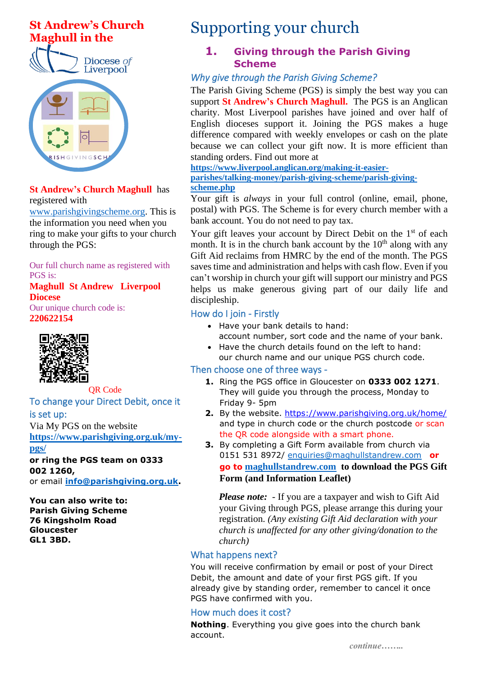



#### **St Andrew's Church Maghull** has registered with

[www.parishgivingscheme.org.](http://www.parishgivingscheme.org/) This is the information you need when you ring to make your gifts to your church through the PGS:

Our full church name as registered with PGS is:

#### **Maghull St Andrew Liverpool Diocese**

Our unique church code is: **220622154**



OR Code To change your Direct Debit, once it is set up:

Via My PGS on the website **[https://www.parishgiving.org.uk/my](https://www.parishgiving.org.uk/my-pgs/)[pgs/](https://www.parishgiving.org.uk/my-pgs/)**

#### **or ring the PGS team on 0333 002 1260,**

or email **[info@parishgiving.org.uk.](mailto:info@parishgiving.org.uk)**

**You can also write to: Parish Giving Scheme 76 Kingsholm Road Gloucester GL1 3BD.**

# Supporting your church

## **1. Giving through the Parish Giving Scheme**

# *Why give through the Parish Giving Scheme?*

The Parish Giving Scheme (PGS) is simply the best way you can support **St Andrew's Church Maghull.** The PGS is an Anglican charity. Most Liverpool parishes have joined and over half of English dioceses support it. Joining the PGS makes a huge difference compared with weekly envelopes or cash on the plate because we can collect your gift now. It is more efficient than standing orders. Find out more at

**[https://www.liverpool.anglican.org/making-it-easier](https://www.liverpool.anglican.org/making-it-easier-parishes/talking-money/parish-giving-scheme/parish-giving-scheme.php)[parishes/talking-money/parish-giving-scheme/parish-giving](https://www.liverpool.anglican.org/making-it-easier-parishes/talking-money/parish-giving-scheme/parish-giving-scheme.php)[scheme.php](https://www.liverpool.anglican.org/making-it-easier-parishes/talking-money/parish-giving-scheme/parish-giving-scheme.php)**

Your gift is *always* in your full control (online, email, phone, postal) with PGS. The Scheme is for every church member with a bank account. You do not need to pay tax.

Your gift leaves your account by Direct Debit on the 1<sup>st</sup> of each month. It is in the church bank account by the  $10<sup>th</sup>$  along with any Gift Aid reclaims from HMRC by the end of the month. The PGS saves time and administration and helps with cash flow. Even if you can't worship in church your gift will support our ministry and PGS helps us make generous giving part of our daily life and discipleship.

# How do I join - Firstly

- Have your bank details to hand:
- account number, sort code and the name of your bank. • Have the church details found on the left to hand:
- our church name and our unique PGS church code.

### Then choose one of three ways -

- **1.** Ring the PGS office in Gloucester on **0333 002 1271**. They will guide you through the process, Monday to Friday 9- 5pm
- **2.** By the website. <https://www.parishgiving.org.uk/home/> and type in church code or the church postcode or scan the QR code alongside with a smart phone.
- **3.** By completing a Gift Form available from church via 0151 531 8972/ [enquiries@maghullstandrew.com](mailto:enquiries@maghullstandrew.com) **or go to [maghullstandrew.com](https://maghullstandrew.com/) to download the PGS Gift Form (and Information Leaflet)**

*Please note:* - If you are a taxpayer and wish to Gift Aid your Giving through PGS, please arrange this during your registration. *(Any existing Gift Aid declaration with your church is unaffected for any other giving/donation to the church)*

### What happens next?

You will receive confirmation by email or post of your Direct Debit, the amount and date of your first PGS gift. If you already give by standing order, remember to cancel it once PGS have confirmed with you.

## How much does it cost?

**Nothing**. Everything you give goes into the church bank account.

*continue……..*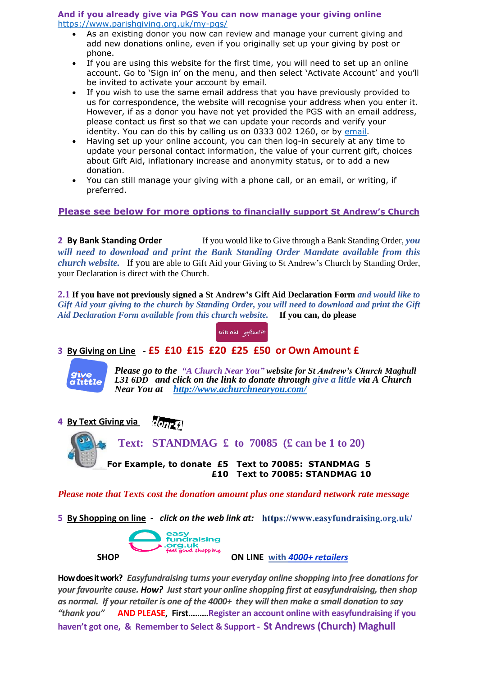#### **And if you already give via PGS You can now manage your giving online** <https://www.parishgiving.org.uk/my-pgs/>

- As an existing donor you now can review and manage your current giving and add new donations online, even if you originally set up your giving by post or phone.
- If you are using this website for the first time, you will need to set up an online account. Go to 'Sign in' on the menu, and then select 'Activate Account' and you'll be invited to activate your account by email.
- If you wish to use the same email address that you have previously provided to us for correspondence, the website will recognise your address when you enter it. However, if as a donor you have not yet provided the PGS with an email address, please contact us first so that we can update your records and verify your identity. You can do this by calling us on 0333 002 1260, or by [email.](mailto:info@parishgiving.org.uk)
- Having set up your online account, you can then log-in securely at any time to update your personal contact information, the value of your current gift, choices about Gift Aid, inflationary increase and anonymity status, or to add a new donation.
- You can still manage your giving with a phone call, or an email, or writing, if preferred.

#### **Please see below for more options to financially support St Andrew's Church**

**2 By Bank Standing Order** If you would like to Give through a Bank Standing Order, *you will need to download and print the Bank Standing Order Mandate available from this church website.* If you are able to Gift Aid your Giving to St Andrew's Church by Standing Order, your Declaration is direct with the Church.

**2.1 If you have not previously signed a St Andrew's Gift Aid Declaration Form** *and would like to* Gift Aid your giving to the church by Standing Order, you will need to download and print the Gift *Aid Declaration Form available from this church website.* **If you can, do please**



### **3 By Giving on Line** *-* **£5 £10 £15 £20 £25 £50 or Own Amount £**



*Please go to the "A Church Near You" website for St Andrew's Church Maghull L31 6DD and click on the link to donate through give a little via A Church Near You at <http://www.achurchnearyou.com/>*

**4 By Text Giving via**

 **Text: STANDMAG £ to 70085 (£ can be 1 to 20) For Example, to donate £5 Text to 70085: STANDMAG 5 £10 Text to 70085: STANDMAG 10** 

*Please note that Texts cost the donation amount plus one standard network rate message* 

**5 By Shopping on line** *- click on the web link at:* 



**How does it work?** *Easyfundraising turns your everyday online shopping into free donations for your favourite cause. How? Just start your online shopping first at easyfundraising, then shop as normal. If your retailer is one of the 4000+ they will then make a small donation to say "thank you"* **AND PLEASE, First………Register an account online with easyfundraising if you haven't got one, & Remember to Select & Support - St Andrews (Church) Maghull**